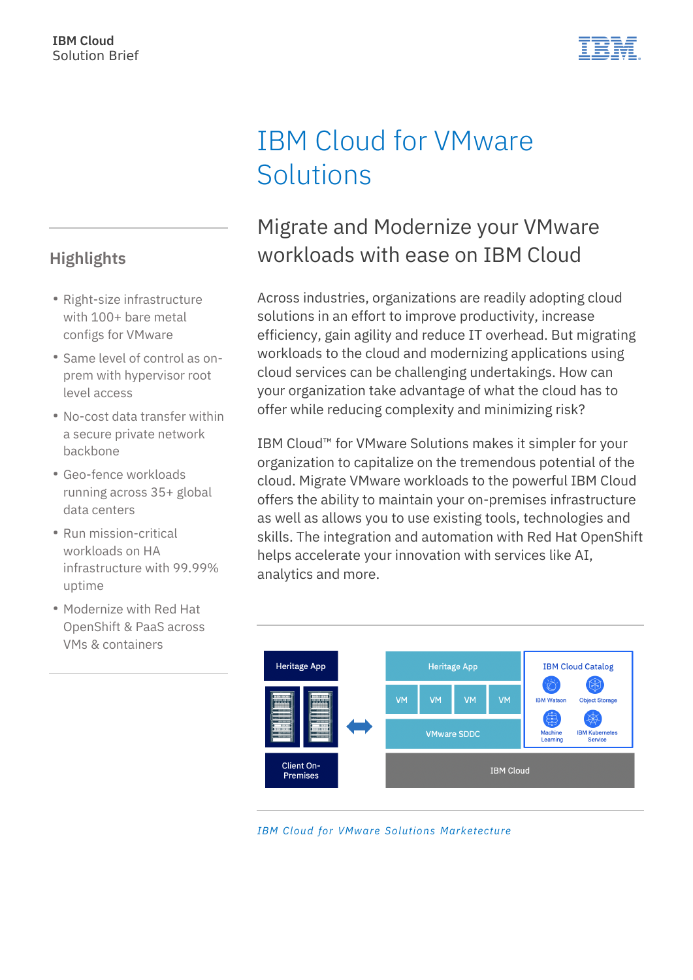# IBM Cloud for VMware **Solutions**

## Migrate and Modernize your VMware workloads with ease on IBM Cloud

Across industries, organizations are readily adopting cloud solutions in an effort to improve productivity, increase efficiency, gain agility and reduce IT overhead. But migrating workloads to the cloud and modernizing applications using cloud services can be challenging undertakings. How can your organization take advantage of what the cloud has to offer while reducing complexity and minimizing risk?

IBM Cloud™ for VMware Solutions makes it simpler for your organization to capitalize on the tremendous potential of the cloud. Migrate VMware workloads to the powerful IBM Cloud offers the ability to maintain your on-premises infrastructure as well as allows you to use existing tools, technologies and skills. The integration and automation with Red Hat OpenShift helps accelerate your innovation with services like AI, analytics and more.



*IBM Cloud for VMware Solutions Marketecture*

### **Highlights**

- Right-size infrastructure with 100+ bare metal configs for VMware
- Same level of control as onprem with hypervisor root level access
- No-cost data transfer within a secure private network backbone
- Geo-fence workloads running across 35+ global data centers
- Run mission-critical workloads on HA infrastructure with 99.99% uptime
- Modernize with Red Hat OpenShift & PaaS across VMs & containers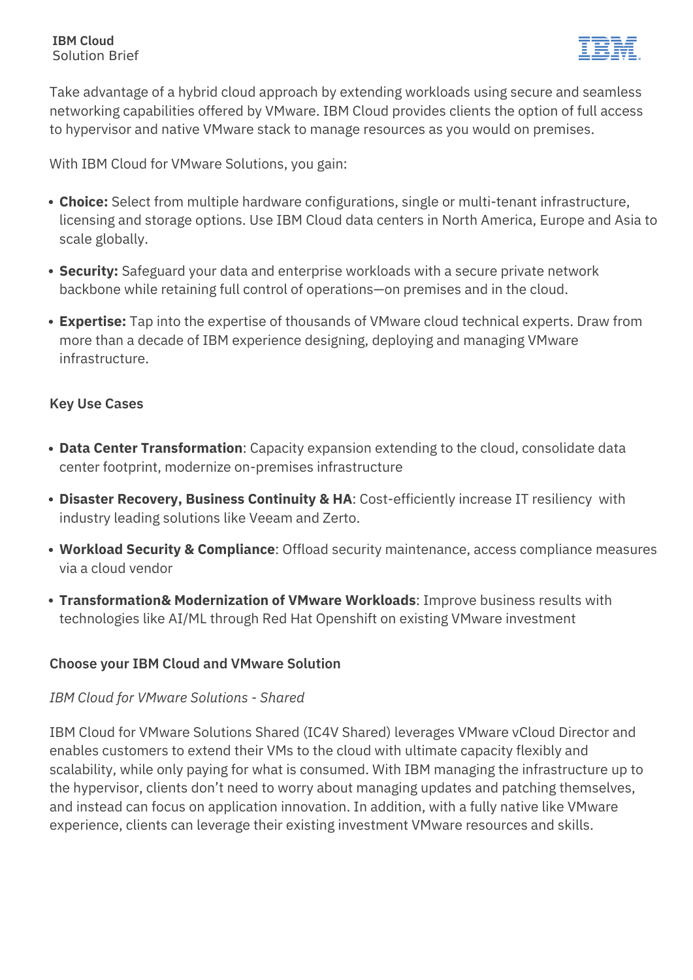#### **IBM Cloud** Solution Brief



Take advantage of a hybrid cloud approach by extending workloads using secure and seamless networking capabilities offered by VMware. IBM Cloud provides clients the option of full access to hypervisor and native VMware stack to manage resources as you would on premises.

With IBM Cloud for VMware Solutions, you gain:

- **Choice:** Select from multiple hardware configurations, single or multi-tenant infrastructure, licensing and storage options. Use IBM Cloud data centers in North America, Europe and Asia to scale globally.
- **Security:** Safeguard your data and enterprise workloads with a secure private network backbone while retaining full control of operations—on premises and in the cloud.
- **Expertise:** Tap into the expertise of thousands of VMware cloud technical experts. Draw from more than a decade of IBM experience designing, deploying and managing VMware infrastructure.

#### **Key Use Cases**

- **Data Center Transformation**: Capacity expansion extending to the cloud, consolidate data center footprint, modernize on-premises infrastructure
- **Disaster Recovery, Business Continuity & HA**: Cost-efficiently increase IT resiliency with industry leading solutions like Veeam and Zerto.
- **Workload Security & Compliance**: Offload security maintenance, access compliance measures via a cloud vendor
- **Transformation& Modernization of VMware Workloads**: Improve business results with technologies like AI/ML through Red Hat Openshift on existing VMware investment

#### **Choose your IBM Cloud and VMware Solution**

#### *IBM Cloud for VMware Solutions - Shared*

IBM Cloud for VMware Solutions Shared (IC4V Shared) leverages VMware vCloud Director and enables customers to extend their VMs to the cloud with ultimate capacity flexibly and scalability, while only paying for what is consumed. With IBM managing the infrastructure up to the hypervisor, clients don't need to worry about managing updates and patching themselves, and instead can focus on application innovation. In addition, with a fully native like VMware experience, clients can leverage their existing investment VMware resources and skills.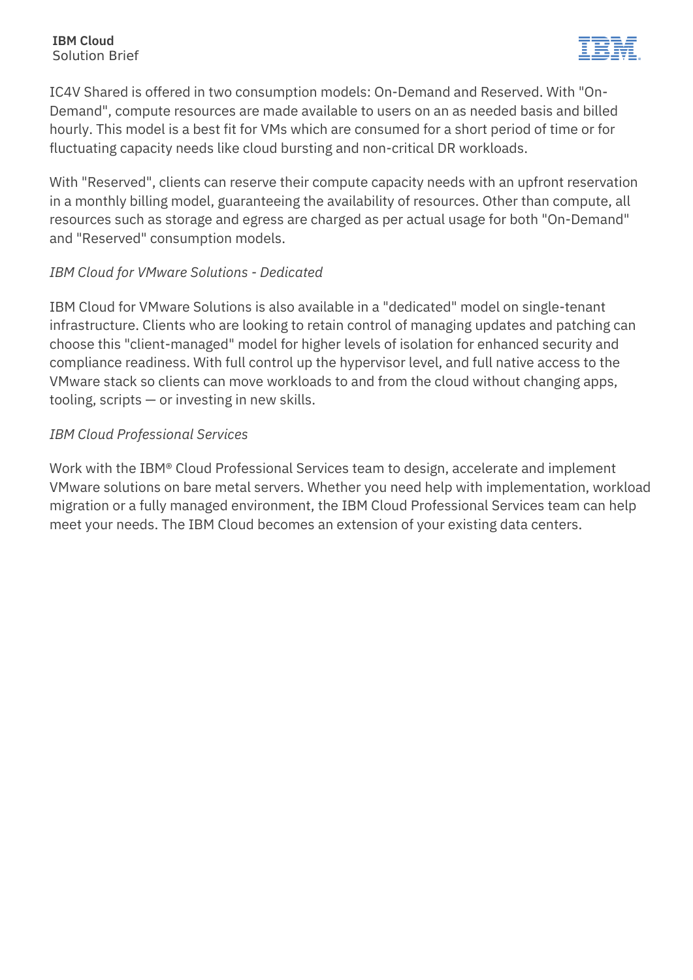#### **IBM Cloud** Solution Brief



IC4V Shared is offered in two consumption models: On-Demand and Reserved. With "On-Demand", compute resources are made available to users on an as needed basis and billed hourly. This model is a best fit for VMs which are consumed for a short period of time or for fluctuating capacity needs like cloud bursting and non-critical DR workloads.

With "Reserved", clients can reserve their compute capacity needs with an upfront reservation in a monthly billing model, guaranteeing the availability of resources. Other than compute, all resources such as storage and egress are charged as per actual usage for both "On-Demand" and "Reserved" consumption models.

### *IBM Cloud for VMware Solutions - Dedicated*

IBM Cloud for VMware Solutions is also available in a "dedicated" model on single-tenant infrastructure. Clients who are looking to retain control of managing updates and patching can choose this "client-managed" model for higher levels of isolation for enhanced security and compliance readiness. With full control up the hypervisor level, and full native access to the VMware stack so clients can move workloads to and from the cloud without changing apps, tooling, scripts — or investing in new skills.

#### *IBM Cloud Professional Services*

Work with the IBM® Cloud Professional Services team to design, accelerate and implement VMware solutions on bare metal servers. Whether you need help with implementation, workload migration or a fully managed environment, the IBM Cloud Professional Services team can help meet your needs. The IBM Cloud becomes an extension of your existing data centers.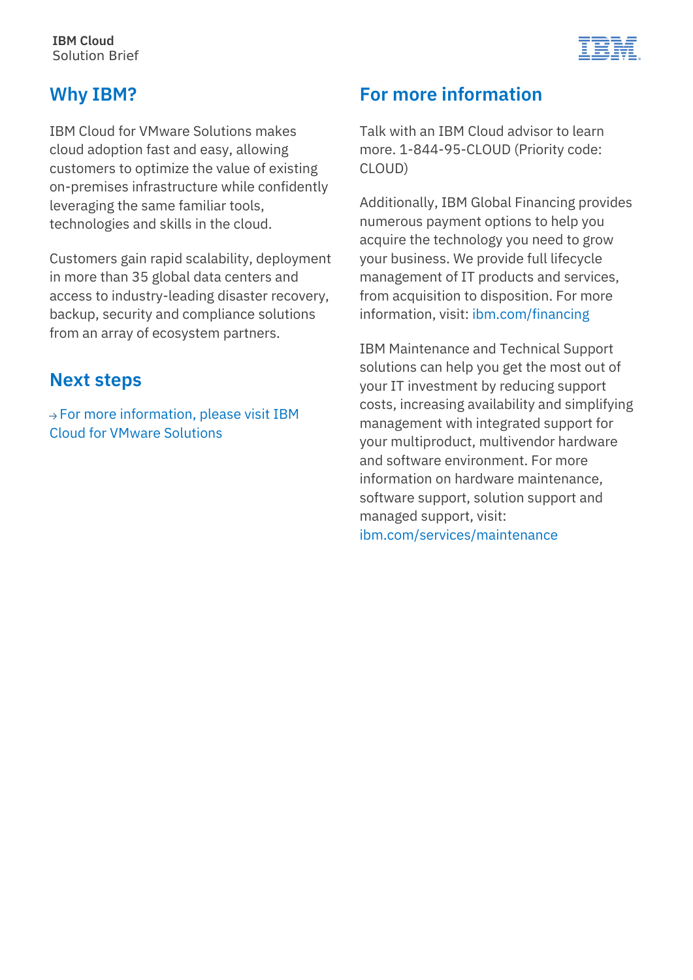

### **Why IBM?**

IBM Cloud for VMware Solutions makes cloud adoption fast and easy, allowing customers to optimize the value of existing on-premises infrastructure while confidently leveraging the same familiar tools, technologies and skills in the cloud.

Customers gain rapid scalability, deployment in more than 35 global data centers and access to industry-leading disaster recovery, backup, security and compliance solutions from an array of ecosystem partners.

### **Next steps**

 $\rightarrow$  [For more information, please visit IBM](http://www.ibm.com/cloud/vmware) [Cloud for VMware Solutions](http://www.ibm.com/cloud/vmware)

### **For more information**

Talk with an IBM Cloud advisor to learn more. 1-844-95-CLOUD (Priority code: CLOUD)

Additionally, IBM Global Financing provides numerous payment options to help you acquire the technology you need to grow your business. We provide full lifecycle management of IT products and services, from acquisition to disposition. For more information, visit: [ibm.com/financing](https://www.ibm.com/financing)

IBM Maintenance and Technical Support solutions can help you get the most out of your IT investment by reducing support costs, increasing availability and simplifying management with integrated support for your multiproduct, multivendor hardware and software environment. For more information on hardware maintenance, software support, solution support and managed support, visit: [ibm.com/services/maintenance](https://www.ibm.com/services/maintenance)